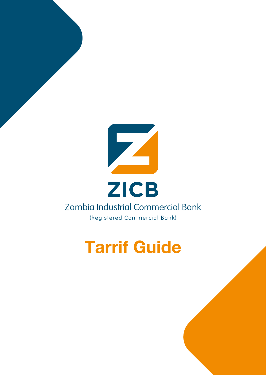

# Tarrif Guide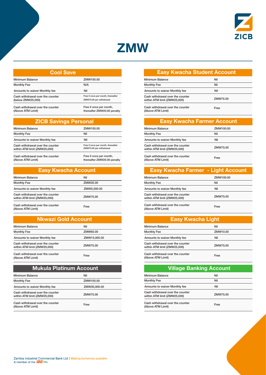

I

| <b>Cool Save</b>                                      |                                                               |  |
|-------------------------------------------------------|---------------------------------------------------------------|--|
| <b>Minimum Balance</b>                                | ZMW100.00                                                     |  |
| <b>Monthly Fee</b>                                    | N/A                                                           |  |
| Amounts to waiver Monthly fee                         | Nil                                                           |  |
| Cash withdrawal over the counter<br>(below ZMW25,000) | Free if once per month, thereafter<br>ZMW75.00 per withdrawal |  |
| Cash withdrawal over the counter<br>(Above ATM Limit) | Free if once per month,<br>thereafter ZMW20.00 penalty        |  |

| <b>ZICB Savings Personal</b>  |           |
|-------------------------------|-----------|
| Minimum Balance               | ZMW100.00 |
| Monthly Fee                   | Nil       |
| Amounts to waiver Monthly fee | Nil       |
|                               |           |

| <b>Alliounts to waiver Molitiny ree</b> | n                                  |
|-----------------------------------------|------------------------------------|
| Cash withdrawal over the counter        | Free if once per month, thereafter |
| within ATM limit (ZMW25,000)            | ZMW75.00 per withdrawal            |
| Cash withdrawal over the counter        | Free if once per month,            |
| (Above ATM Limit)                       | thereafter ZMW20.00 penalty        |

| <b>Easy Kwacha Account</b>                                       |             |
|------------------------------------------------------------------|-------------|
| Minimum Balance                                                  | Nil         |
| <b>Monthly Fee</b>                                               | ZMW35.00    |
| Amounts to waiver Monthly fee                                    | ZMW5,000.00 |
| Cash withdrawal over the counter<br>within ATM limit (ZMW25,000) | ZMW75.00    |
| Cash withdrawal over the counter<br>(Above ATM Limit)            | Free        |

#### Nkwazi Gold Account

| <b>Minimum Balance</b>                                           | Nil          |
|------------------------------------------------------------------|--------------|
| <b>Monthly Fee</b>                                               | ZMW60.00     |
| Amounts to waiver Monthly fee                                    | ZMW15,000.00 |
| Cash withdrawal over the counter<br>within ATM limit (ZMW25,000) | ZMW75.00     |
| Cash withdrawal over the counter<br>(Above ATM Limit)            | Free         |

#### Mukula Platinum Account

| <b>Minimum Balance</b>                                           | Nil          |
|------------------------------------------------------------------|--------------|
| <b>Monthly Fee</b>                                               | ZMW100.00    |
| Amounts to waiver Monthly fee                                    | ZMW30.000.00 |
| Cash withdrawal over the counter<br>within ATM limit (ZMW25,000) | ZMW75.00     |
| Cash withdrawal over the counter<br>(Above ATM Limit)            | Free         |

| <b>Easy Kwacha Student Account</b>                               |          |  |
|------------------------------------------------------------------|----------|--|
| <b>Minimum Balance</b>                                           | Nil      |  |
| <b>Monthly Fee</b>                                               | Nil      |  |
| Amounts to waiver Monthly fee                                    | Nil      |  |
| Cash withdrawal over the counter<br>within ATM limit (ZMW25,000) | ZMW75.00 |  |

Z

**ZICB** 

| Cash withdrawal over the counter<br>(Above ATM Limit) | Free |
|-------------------------------------------------------|------|
|                                                       |      |

| <b>Easy Kwacha Farmer Account</b>                                |           |  |
|------------------------------------------------------------------|-----------|--|
| Minimum Balance                                                  | ZMW100.00 |  |
| <b>Monthly Fee</b>                                               | Nil       |  |
| Amounts to waiver Monthly fee                                    | Nil       |  |
| Cash withdrawal over the counter<br>within ATM limit (ZMW25,000) | ZMW75.00  |  |
| Cash withdrawal over the counter<br>(Above ATM Limit)            | Free      |  |

| <b>Easy Kwacha Farmer - Light Account</b>                        |           |
|------------------------------------------------------------------|-----------|
| Minimum Balance                                                  | ZMW100.00 |
| <b>Monthly Fee</b>                                               | Nil       |
| Amounts to waiver Monthly fee                                    | Nil       |
| Cash withdrawal over the counter<br>within ATM limit (ZMW25,000) | ZMW75.00  |
| Cash withdrawal over the counter<br>(Above ATM Limit)            | Free      |

| Easy Kwacha Light                                                |          |  |
|------------------------------------------------------------------|----------|--|
| <b>Minimum Balance</b>                                           | Nil      |  |
| <b>Monthly Fee</b>                                               | ZMW10.00 |  |
| Amounts to waiver Monthly fee                                    | Nil      |  |
| Cash withdrawal over the counter<br>within ATM limit (ZMW25,000) | ZMW75.00 |  |
| Cash withdrawal over the counter<br>(Above ATM Limit)            | Free     |  |

| <b>Village Banking Account</b>                                   |          |  |
|------------------------------------------------------------------|----------|--|
| Minimum Balance                                                  | Nil      |  |
| <b>Monthly Fee</b>                                               | Nil      |  |
| Amounts to waiver Monthly fee                                    | Nil      |  |
| Cash withdrawal over the counter<br>within ATM limit (ZMW25,000) | ZMW75.00 |  |
| Cash withdrawal over the counter<br>(Above ATM Limit)            | Free     |  |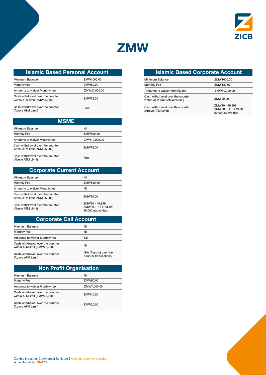



| <b>Islamic Based Personal Account</b>                            |              |
|------------------------------------------------------------------|--------------|
| <b>Minimum Balance</b>                                           | ZMW1000.00   |
| <b>Monthly Fee</b>                                               | ZMW80.00     |
| Amounts to waiver Monthly fee                                    | ZMW30.000.00 |
| Cash withdrawal over the counter<br>within ATM limit (ZMW25,000) | ZMW75.00     |
| Cash withdrawal over the counter<br>(Above ATM Limit)            | Free         |

| <b>MSME</b>                                                      |              |  |
|------------------------------------------------------------------|--------------|--|
| <b>Minimum Balance</b>                                           | Nil          |  |
| <b>Monthly Fee</b>                                               | ZMW100.00    |  |
| Amounts to waiver Monthly fee                                    | ZMW10,000.00 |  |
| Cash withdrawal over the counter<br>within ATM limit (ZMW25,000) | ZMW75.00     |  |
| Cash withdrawal over the counter<br>(Above ATM Limit)            | Free         |  |

| <b>Corporate Current Account</b>                                 |                                                          |
|------------------------------------------------------------------|----------------------------------------------------------|
| <b>Minimum Balance</b>                                           | Nil                                                      |
| <b>Monthly Fee</b>                                               | ZMW130.00                                                |
| Amounts to waiver Monthly fee                                    | Nil                                                      |
| Cash withdrawal over the counter<br>within ATM limit (ZMW25,000) | ZMW20.00                                                 |
| Cash withdrawal over the counter<br>(Above ATM Limit)            | ZMW20 - 49,999<br>ZMW50 - FOR EVERY<br>50,000 above that |

### Corporate Call Account

| Nil                                             |
|-------------------------------------------------|
| Nil                                             |
| Nil                                             |
| Nil                                             |
| N/A (Restrict over the<br>counter transactions) |
|                                                 |

| <b>Non Profit Organisation</b>                                   |             |  |
|------------------------------------------------------------------|-------------|--|
| Minimum Balance                                                  | Nil         |  |
| <b>Monthly Fee</b>                                               | ZMW50.00    |  |
| Amounts to waiver Monthly fee                                    | ZMW7,000.00 |  |
| Cash withdrawal over the counter<br>within ATM limit (ZMW25,000) | ZMW10.00    |  |
| Cash withdrawal over the counter<br>(Above ATM Limit)            | ZMW20.00    |  |

### Islamic Based Corporate Account

| <b>Minimum Balance</b>                                           | ZMW1000.00                                               |
|------------------------------------------------------------------|----------------------------------------------------------|
| <b>Monthly Fee</b>                                               | ZMW130.00                                                |
| Amounts to waiver Monthly fee                                    | ZMW50,000.00                                             |
| Cash withdrawal over the counter<br>within ATM limit (ZMW25,000) | ZMW20.00                                                 |
| Cash withdrawal over the counter<br>(Above ATM Limit)            | ZMW20 - 49.999<br>ZMW50 - FOR EVERY<br>50,000 above that |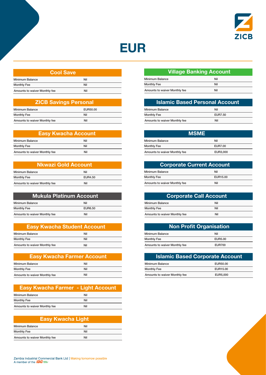



| <b>Cool Save</b>              |     |  |
|-------------------------------|-----|--|
| <b>Minimum Balance</b>        | Nil |  |
| <b>Monthly Fee</b>            | Nil |  |
| Amounts to waiver Monthly fee | Nil |  |

| <b>ZICB Savings Personal</b>  |          |  |
|-------------------------------|----------|--|
| <b>Minimum Balance</b>        | EUR50.00 |  |
| <b>Monthly Fee</b>            | Nil      |  |
| Amounts to waiver Monthly fee | Nil      |  |

| <b>Easy Kwacha Account</b>    |     |  |
|-------------------------------|-----|--|
| <b>Minimum Balance</b>        | Nil |  |
| <b>Monthly Fee</b>            | Nil |  |
| Amounts to waiver Monthly fee | Nil |  |

| Nkwazi Gold Account           |                |  |
|-------------------------------|----------------|--|
| <b>Minimum Balance</b>        | Nil            |  |
| <b>Monthly Fee</b>            | <b>EUR4.50</b> |  |
| Amounts to waiver Monthly fee | Nil            |  |

| <b>Mukula Platinum Account</b> |         |  |
|--------------------------------|---------|--|
| <b>Minimum Balance</b>         | Nil     |  |
| <b>Monthly Fee</b>             | EUR6.50 |  |
| Amounts to waiver Monthly fee  | Nil     |  |

| <b>Easy Kwacha Student Account</b> |     |
|------------------------------------|-----|
| <b>Minimum Balance</b>             | Nil |
| <b>Monthly Fee</b>                 | Nil |
| Amounts to waiver Monthly fee      | Nil |
|                                    |     |

| <b>Easy Kwacha Farmer Account</b> |     |  |
|-----------------------------------|-----|--|
| <b>Minimum Balance</b>            | Nil |  |
| <b>Monthly Fee</b>                | Nil |  |
| Amounts to waiver Monthly fee     | Nil |  |

| <b>Easy Kwacha Farmer - Light Account</b> |     |
|-------------------------------------------|-----|
| <b>Minimum Balance</b>                    | Nil |
| <b>Monthly Fee</b>                        | Nil |
| Amounts to waiver Monthly fee             | Nil |

| <b>Easy Kwacha Light</b>      |     |  |
|-------------------------------|-----|--|
| <b>Minimum Balance</b>        | Nil |  |
| <b>Monthly Fee</b>            | Nil |  |
| Amounts to waiver Monthly fee | Nil |  |

| Zambia Industrial Commercial Bank Ltd   Making tomorrow possible |
|------------------------------------------------------------------|
| A member of the $IDE \equiv$                                     |

| <b>Village Banking Account</b> |     |  |
|--------------------------------|-----|--|
| <b>Minimum Balance</b>         | Nil |  |
| <b>Monthly Fee</b>             | Nil |  |
| Amounts to waiver Monthly fee  | Nil |  |

| <b>Islamic Based Personal Account</b> |                |  |
|---------------------------------------|----------------|--|
| <b>Minimum Balance</b>                | Nil            |  |
| <b>Monthly Fee</b>                    | <b>EUR7.50</b> |  |
| Amounts to waiver Monthly fee         | Nil            |  |

| <b>MSME</b>                   |                |  |
|-------------------------------|----------------|--|
| <b>Minimum Balance</b>        | Nil            |  |
| <b>Monthly Fee</b>            | <b>EUR7.00</b> |  |
| Amounts to waiver Monthly fee | EUR3,000       |  |

| <b>Corporate Current Account</b> |          |  |
|----------------------------------|----------|--|
| <b>Minimum Balance</b>           | Nil      |  |
| <b>Monthly Fee</b>               | EUR15.00 |  |
| Amounts to waiver Monthly fee    | Nil      |  |

| <b>Corporate Call Account</b> |     |  |
|-------------------------------|-----|--|
| <b>Minimum Balance</b>        | Nil |  |
| <b>Monthly Fee</b>            | Nil |  |
| Amounts to waiver Monthly fee | Nil |  |

| <b>Non Profit Organisation</b> |               |  |
|--------------------------------|---------------|--|
| <b>Minimum Balance</b>         | Nil           |  |
| <b>Monthly Fee</b>             | EUR5.00       |  |
| Amounts to waiver Monthly fee  | <b>EUR700</b> |  |

| <b>Islamic Based Corporate Account</b> |          |  |
|----------------------------------------|----------|--|
| <b>Minimum Balance</b>                 | EUR50.00 |  |
| <b>Monthly Fee</b>                     | EUR15.00 |  |
| Amounts to waiver Monthly fee          | EUR5.000 |  |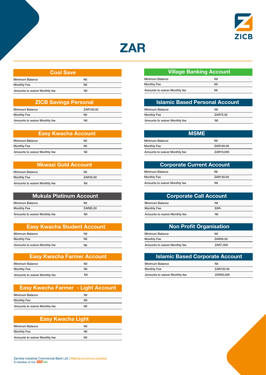



| <b>Cool Save</b>              |     |  |
|-------------------------------|-----|--|
| <b>Minimum Balance</b>        | Nil |  |
| <b>Monthly Fee</b>            | Nil |  |
| Amounts to waiver Monthly fee | Nil |  |

| <b>ZICB Savings Personal</b>  |           |  |
|-------------------------------|-----------|--|
| <b>Minimum Balance</b>        | ZAR100.00 |  |
| <b>Monthly Fee</b>            | Nil       |  |
| Amounts to waiver Monthly fee | Nil       |  |

| <b>Easy Kwacha Account</b>    |     |  |
|-------------------------------|-----|--|
| <b>Minimum Balance</b>        | Nil |  |
| <b>Monthly Fee</b>            | Nil |  |
| Amounts to waiver Monthly fee | Nil |  |

| Nkwazi Gold Account           |          |
|-------------------------------|----------|
| <b>Minimum Balance</b>        | Nil      |
| <b>Monthly Fee</b>            | ZAR45.00 |
| Amounts to waiver Monthly fee | Nil      |

| <b>Mukula Platinum Account</b> |          |
|--------------------------------|----------|
| <b>Minimum Balance</b>         | Nil      |
| <b>Monthly Fee</b>             | ZAR65.00 |
| Amounts to waiver Monthly fee  | Nil      |

| <b>Easy Kwacha Student Account</b> |     |  |
|------------------------------------|-----|--|
| <b>Minimum Balance</b>             | Nil |  |
| <b>Monthly Fee</b>                 | Nil |  |
| Amounts to waiver Monthly fee      | Nil |  |
|                                    |     |  |

| <b>Easy Kwacha Farmer Account</b> |     |  |
|-----------------------------------|-----|--|
| <b>Minimum Balance</b>            | Nil |  |
| <b>Monthly Fee</b>                | Nil |  |
| Amounts to waiver Monthly fee     | Nil |  |

| <b>Easy Kwacha Farmer - Light Account</b> |     |
|-------------------------------------------|-----|
| <b>Minimum Balance</b>                    | Nil |
| <b>Monthly Fee</b>                        | Nil |
| Amounts to waiver Monthly fee             | Nil |

| <b>Easy Kwacha Light</b>      |     |  |
|-------------------------------|-----|--|
| <b>Minimum Balance</b>        | Nil |  |
| <b>Monthly Fee</b>            | Nil |  |
| Amounts to waiver Monthly fee | Nil |  |

| Zambia Industrial Commercial Bank Ltd   Making tomorrow possible |
|------------------------------------------------------------------|
| A member of the $IDE \equiv$                                     |

| <b>Village Banking Account</b> |     |  |
|--------------------------------|-----|--|
| <b>Minimum Balance</b>         | Nil |  |
| <b>Monthly Fee</b>             | Nil |  |
| Amounts to waiver Monthly fee  | Nil |  |

| <b>Islamic Based Personal Account</b> |          |
|---------------------------------------|----------|
| <b>Minimum Balance</b>                | Nil      |
| <b>Monthly Fee</b>                    | ZAR75.00 |
| Amounts to waiver Monthly fee         | Nil      |

| <b>MSME</b>                   |           |  |
|-------------------------------|-----------|--|
| <b>Minimum Balance</b>        | Nil       |  |
| <b>Monthly Fee</b>            | ZAR100.00 |  |
| Amounts to waiver Monthly fee | ZAR10,000 |  |

| <b>Corporate Current Account</b> |           |
|----------------------------------|-----------|
| <b>Minimum Balance</b>           | Nil       |
| <b>Monthly Fee</b>               | ZAR130.00 |
| Amounts to waiver Monthly fee    | Nil       |

| <b>Corporate Call Account</b> |      |  |
|-------------------------------|------|--|
| <b>Minimum Balance</b>        | Nil  |  |
| <b>Monthly Fee</b>            | 7AR- |  |
| Amounts to waiver Monthly fee | Nil  |  |

| <b>Non Profit Organisation</b> |          |  |
|--------------------------------|----------|--|
| <b>Minimum Balance</b>         | Nil      |  |
| <b>Monthly Fee</b>             | ZAR50.00 |  |
| Amounts to waiver Monthly fee  | ZAR7.000 |  |

| <b>Islamic Based Corporate Account</b> |           |  |
|----------------------------------------|-----------|--|
| <b>Minimum Balance</b>                 | Nil       |  |
| <b>Monthly Fee</b>                     | ZAR130.00 |  |
| Amounts to waiver Monthly fee          | ZAR50,000 |  |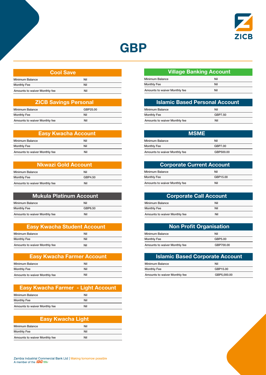



| <b>Cool Save</b>              |     |  |
|-------------------------------|-----|--|
| <b>Minimum Balance</b>        | Nil |  |
| <b>Monthly Fee</b>            | Nil |  |
| Amounts to waiver Monthly fee | Nil |  |

| <b>ZICB Savings Personal</b>  |          |  |
|-------------------------------|----------|--|
| <b>Minimum Balance</b>        | GBP25.00 |  |
| <b>Monthly Fee</b>            | Nil      |  |
| Amounts to waiver Monthly fee | Nil      |  |

| <b>Easy Kwacha Account</b>    |     |
|-------------------------------|-----|
| <b>Minimum Balance</b>        | Nil |
| <b>Monthly Fee</b>            | Nil |
| Amounts to waiver Monthly fee | Nil |

| <b>Nkwazi Gold Account</b>    |         |  |
|-------------------------------|---------|--|
| <b>Minimum Balance</b>        | Nil     |  |
| <b>Monthly Fee</b>            | GBP4.50 |  |
| Amounts to waiver Monthly fee | Nil     |  |

| Mukula Platinum Account       |         |
|-------------------------------|---------|
| <b>Minimum Balance</b>        | Nil     |
| <b>Monthly Fee</b>            | GBP6.50 |
| Amounts to waiver Monthly fee | Nil     |

| <b>Easy Kwacha Student Account</b> |     |
|------------------------------------|-----|
| <b>Minimum Balance</b>             | Nil |
| <b>Monthly Fee</b>                 | Nil |
| Amounts to waiver Monthly fee      | Nil |
|                                    |     |

| <b>Easy Kwacha Farmer Account</b> |     |  |
|-----------------------------------|-----|--|
| <b>Minimum Balance</b>            | Nil |  |
| <b>Monthly Fee</b>                | Nil |  |
| Amounts to waiver Monthly fee     | Nil |  |

| <b>Easy Kwacha Farmer - Light Account</b> |     |
|-------------------------------------------|-----|
| <b>Minimum Balance</b>                    | Nil |
| <b>Monthly Fee</b>                        | Nil |
| Amounts to waiver Monthly fee             | Nil |

| <b>Easy Kwacha Light</b>      |     |  |
|-------------------------------|-----|--|
| <b>Minimum Balance</b>        | Nil |  |
| <b>Monthly Fee</b>            | Nil |  |
| Amounts to waiver Monthly fee | Nil |  |

| Zambia Industrial Commercial Bank Ltd   Making tomorrow possible |
|------------------------------------------------------------------|
| A member of the $IDE \equiv$                                     |

| <b>Village Banking Account</b> |     |  |
|--------------------------------|-----|--|
| <b>Minimum Balance</b>         | Nil |  |
| <b>Monthly Fee</b>             | Nil |  |
| Amounts to waiver Monthly fee  | Nil |  |

| <b>Islamic Based Personal Account</b> |         |
|---------------------------------------|---------|
| <b>Minimum Balance</b>                | Nil     |
| <b>Monthly Fee</b>                    | GBP7.50 |
| Amounts to waiver Monthly fee         | Nil     |

| <b>MSME</b>                   |           |
|-------------------------------|-----------|
| <b>Minimum Balance</b>        | Nil       |
| <b>Monthly Fee</b>            | GBP7.00   |
| Amounts to waiver Monthly fee | GBP500.00 |

| <b>Corporate Current Account</b> |          |
|----------------------------------|----------|
| <b>Minimum Balance</b>           | Nil      |
| <b>Monthly Fee</b>               | GBP15.00 |
| Amounts to waiver Monthly fee    | Nil      |

| <b>Corporate Call Account</b> |  |
|-------------------------------|--|
| Nil                           |  |
| Nil                           |  |
| Nil                           |  |
|                               |  |

| <b>Non Profit Organisation</b> |           |  |
|--------------------------------|-----------|--|
| <b>Minimum Balance</b>         | Nil       |  |
| <b>Monthly Fee</b>             | GBP5.00   |  |
| Amounts to waiver Monthly fee  | GBP700.00 |  |

| <b>Islamic Based Corporate Account</b> |             |
|----------------------------------------|-------------|
| <b>Minimum Balance</b>                 | Nil         |
| <b>Monthly Fee</b>                     | GBP15.00    |
| Amounts to waiver Monthly fee          | GBP5,000.00 |

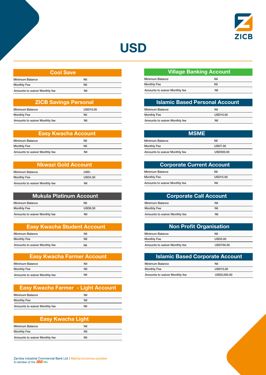

### USD

| <b>Cool Save</b>              |     |  |
|-------------------------------|-----|--|
| <b>Minimum Balance</b>        | Nil |  |
| <b>Monthly Fee</b>            | Nil |  |
| Amounts to waiver Monthly fee | Nil |  |

| <b>ZICB Savings Personal</b>  |                      |
|-------------------------------|----------------------|
| <b>Minimum Balance</b>        | USD <sub>10.00</sub> |
| <b>Monthly Fee</b>            | Nil                  |
| Amounts to waiver Monthly fee | Nil                  |

| <b>Easy Kwacha Account</b>    |     |
|-------------------------------|-----|
| <b>Minimum Balance</b>        | Nil |
| <b>Monthly Fee</b>            | Nil |
| Amounts to waiver Monthly fee | Nil |

| Nkwazi Gold Account           |                |  |
|-------------------------------|----------------|--|
| <b>Minimum Balance</b>        | USD-           |  |
| <b>Monthly Fee</b>            | <b>USD4.50</b> |  |
| Amounts to waiver Monthly fee | Nil            |  |

| <b>Mukula Platinum Account</b> |                |  |
|--------------------------------|----------------|--|
| <b>Minimum Balance</b>         | Nil            |  |
| <b>Monthly Fee</b>             | <b>USD6.50</b> |  |
| Amounts to waiver Monthly fee  | Nil            |  |

| <b>Easy Kwacha Student Account</b> |     |
|------------------------------------|-----|
| <b>Minimum Balance</b>             | Nil |
| <b>Monthly Fee</b>                 | Nil |
| Amounts to waiver Monthly fee      | Nil |
|                                    |     |

| <b>Easy Kwacha Farmer Account</b> |     |  |
|-----------------------------------|-----|--|
| <b>Minimum Balance</b>            | Nil |  |
| <b>Monthly Fee</b>                | Nil |  |
| Amounts to waiver Monthly fee     | Nil |  |

| <b>Easy Kwacha Farmer - Light Account</b> |     |
|-------------------------------------------|-----|
| <b>Minimum Balance</b>                    | Nil |
| <b>Monthly Fee</b>                        | Nil |
| Amounts to waiver Monthly fee             | Nil |

| <b>Easy Kwacha Light</b>      |     |  |
|-------------------------------|-----|--|
| <b>Minimum Balance</b>        | Nil |  |
| <b>Monthly Fee</b>            | Nil |  |
| Amounts to waiver Monthly fee | Nil |  |

| Zambia Industrial Commercial Bank Ltd   Making tomorrow possible |  |
|------------------------------------------------------------------|--|
| A member of the $IDC \equiv$                                     |  |

| <b>Village Banking Account</b> |     |  |
|--------------------------------|-----|--|
| <b>Minimum Balance</b>         | Nil |  |
| <b>Monthly Fee</b>             | Nil |  |
| Amounts to waiver Monthly fee  | Nil |  |

| <b>Islamic Based Personal Account</b> |                      |  |
|---------------------------------------|----------------------|--|
| <b>Minimum Balance</b>                | Nil                  |  |
| <b>Monthly Fee</b>                    | USD <sub>10.00</sub> |  |
| Amounts to waiver Monthly fee         | Nil                  |  |

| <b>MSME</b>                   |                |
|-------------------------------|----------------|
| <b>Minimum Balance</b>        | Nil            |
| <b>Monthly Fee</b>            | <b>USD7.00</b> |
| Amounts to waiver Monthly fee | USD500.00      |

| <b>Corporate Current Account</b> |                 |  |
|----------------------------------|-----------------|--|
| <b>Minimum Balance</b>           | Nil             |  |
| <b>Monthly Fee</b>               | <b>USD15.00</b> |  |
| Amounts to waiver Monthly fee    | Nil             |  |

| <b>Corporate Call Account</b> |     |  |
|-------------------------------|-----|--|
| <b>Minimum Balance</b>        | Nil |  |
| <b>Monthly Fee</b>            | Nil |  |
| Amounts to waiver Monthly fee | Nil |  |

| <b>Non Profit Organisation</b> |                  |  |
|--------------------------------|------------------|--|
| <b>Minimum Balance</b>         | Nil              |  |
| <b>Monthly Fee</b>             | <b>USD5.00</b>   |  |
| Amounts to waiver Monthly fee  | <b>USD700.00</b> |  |

| <b>Islamic Based Corporate Account</b> |                 |  |
|----------------------------------------|-----------------|--|
| <b>Minimum Balance</b>                 | Nil             |  |
| <b>Monthly Fee</b>                     | <b>USD15.00</b> |  |
| Amounts to waiver Monthly fee          | USD5,000.00     |  |

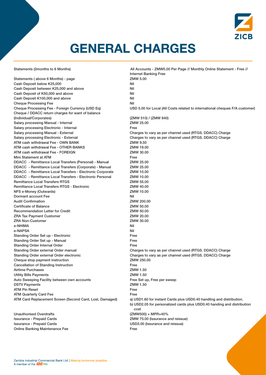

## GENERAL CHARGES

Statements (above 6 Months) - page  $ZMW 5.00$ Cash Deposit below K25,000 Nil Cash Deposit between K25,000 and above Nil Cash Deposit of K50,000 and above Nil Cash Deposit K100,000 and above Nil Cheque Processing Fee Nil Cheque / DDACC return charges for want of balance (Individual/Corporates) (ZMW 510) / (ZMW 840) Salary processing Manual - Internal ZMW 25.00 Salary processing Electronic - Internal Free ATM cash withdrawal Fee - OWN BANK Now a metal with the SATM 9.50 ATM cash withdrawal Fee - OTHER BANKS **Example 2018** 2MW 19.00 ATM cash withdrawal Fee - FOREIGN North Cash withdrawal Fee - FOREIGN Mini Statement at ATM **Free** DDACC - Remittance Local Transfers (Personal) - Manual ZMW 25.00 DDACC - Remittance Local Transfers (Corporate) - Manual ZMW 25.00 DDACC - Remittance Local Transfers - Electronic Corporate ZMW 10.00 DDACC - Remittance Local Transfers - Electronic Personal ZMW 10.00 Remittance Local Transfers RTGS ZMW 55.00 Remittance Local Transfers RTGS - Electronic ZMW 40.00 NFS e-Money (Outwards) ZMW 10.00 Dormant account Fee Nil Audit Confirmation **Audit Confirmation** 200.00 Certificate of Balance **ZMW** 50.00 Recommendation Letter for Credit **National Strutter Credit** 25 and 2000 ZMW 50.00 ZRA Tax Payment Customer ZRA Tax Payment Customer ZRA Non-Customer ZMW 30.00 e-NHIMA Nil e-NAPSA Nil Standing Order Set up - Electronic Free Standing Order Set up - Manual Free Standing Order Internal Order Free Cheque stop payment instruction <br>
ZMW 250.00 Cancellation of Standing Instruction Free Airtime Purchases **ZMW** 1.50 Utility Bills Payments **Value 2018** 2MW 1.50 Auto Sweeping Facility between own accounts Free Set up, Free per sweep DSTV Payments ZMW 1.50 ATM Pin Reset Free ATM Quarterly Card Fee Free

Unauthorised Overdrafts (ZMW500) + MPR+40% Online Banking Maintenance Fee Free

Statements (2months to 6 Months) All Accounts - ZMW5.00 Per Page // Monthly Online Statement - Free // Internet Banking Free Cheque Processing Fee - Foreign Currency (USD Eq) USD 5.00 for Local (All Costs related to international cheques F/A customer) Salary processing Manual - External Charges to vary as per channel used (RTGS. DDACC) Charge Salary processing Electronic - External Charges to vary as per channel used (RTGS. DDACC) Charge Standing Order external Order manual Charges to vary as per channel used (RTGS. DDACC) Charge Standing Order external Order electronic Charges to vary as per channel used (RTGS. DDACC) Charge ATM Card Replacement Screen (Second Card, Lost, Damaged) a) USD1.60 for instant Cards plus USD0.40 handling and distribution. b) USD2.05 for personalized cards plus USD0.40 handing and distribution cost and the cost of the cost of the cost of the cost of the cost of the cost of the cost of the cost of the c Issurance - Prepaid Cards **Cards** 2001 **ZMW 75.00** (Issurance and reissue) Issurance - Prepaid Cards USD3.00 (Issurance and reissue)